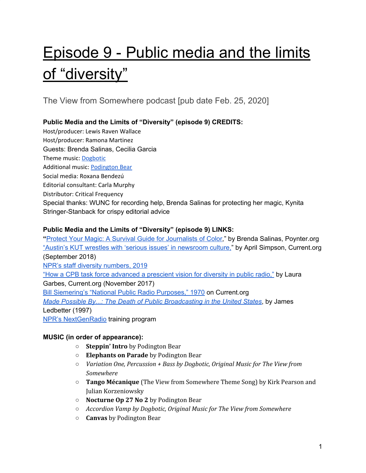# Episode 9 - Public media and the limits of "diversity"

The View from Somewhere podcast [pub date Feb. 25, 2020]

# **Public Media and the Limits of "Diversity" (episode 9) CREDITS:**

Host/producer: Lewis Raven Wallace Host/producer: Ramona Martinez Guests: Brenda Salinas, Cecilia Garcia Theme music: [Dogbotic](https://dogbotic.com/) Additional music: [Podington](https://www.podingtonbear.com/) Bear Social media: Roxana Bendezú Editorial consultant: Carla Murphy Distributor: Critical Frequency Special thanks: WUNC for recording help, Brenda Salinas for protecting her magic, Kynita Stringer-Stanback for crispy editorial advice

# **Public Media and the Limits of "Diversity" (episode 9) LINKS:**

**"**Protect Your Magic: A Survival Guide for [Journalists](https://www.poynter.org/business-work/2018/protect-your-magic-a-survival-guide-for-journalists-of-color/) of Color," by Brenda Salinas, Poynter.org "Austin's KUT wrestles with 'serious issues' in [newsroom](https://current.org/2018/09/austins-kut-wrestles-with-serious-problems-in-newsroom-culture/) culture," by April Simpson, Current.org (September 2018) NPR's staff diversity [numbers,](https://www.npr.org/sections/publiceditor/2019/11/19/779261818/nprs-staff-diversity-numbers-2019) 2019 "How a CPB task force [advanced](https://current.org/2017/11/how-a-cpb-task-force-advanced-a-prescient-vision-for-diversity-in-public-radio/) a prescient vision for diversity in public radio," by Laura Garbes, Current.org (November 2017) Bill [Siemering's](https://current.org/2012/05/national-public-radio-purposes/) "National Public Radio Purposes," 1970 on Current.org *Made Possible By...: The Death of Public [Broadcasting](https://www.amazon.com/gp/product/1859849040/ref=dbs_a_def_rwt_hsch_vapi_taft_p1_i5) in the United States*, by James Ledbetter (1997) NPR's [NextGenRadio](https://nextgenerationradio.org/) training program

# **MUSIC (in order of appearance):**

- **○ Steppin' Intro** by Podington Bear
- **Elephants on Parade** by Podington Bear
- *Variation One, Percussion + Bass by Dogbotic, Original Music for The View from Somewhere*
- *○* **Tango Mécanique** (The View from Somewhere Theme Song) by Kirk Pearson and Julian Korzeniowsky
- **○ Nocturne Op 27 No 2** by Podington Bear
- *Accordion Vamp by Dogbotic, Original Music for The View from Somewhere*
- **○ Canvas** by Podington Bear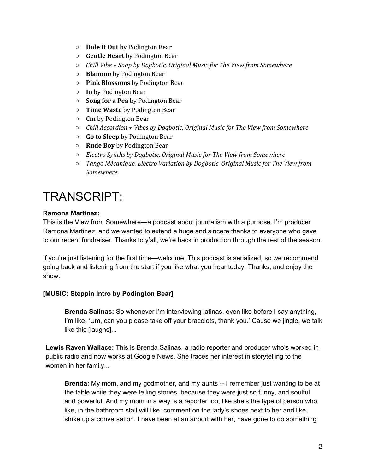- **○ Dole It Out** by Podington Bear
- **○ Gentle Heart** by Podington Bear
- *Chill Vibe + Snap by Dogbotic, Original Music for The View from Somewhere*
- **○ Blammo** by Podington Bear
- **○ Pink Blossoms** by Podington Bear
- **○ In** by Podington Bear
- **○ Song for a Pea** by Podington Bear
- **○ Time Waste** by Podington Bear
- **○ Cm** by Podington Bear
- *Chill Accordion + Vibes by Dogbotic, Original Music for The View from Somewhere*
- **○ Go to Sleep** by Podington Bear
- **○ Rude Boy** by Podington Bear
- *Electro Synths by Dogbotic, Original Music for The View from Somewhere*
- *○ Tango Mécanique, Electro Variation by Dogbotic, Original Music for The View from Somewhere*

# TRANSCRIPT:

#### **Ramona Martinez:**

This is the View from Somewhere—a podcast about journalism with a purpose. I'm producer Ramona Martinez, and we wanted to extend a huge and sincere thanks to everyone who gave to our recent fundraiser. Thanks to y'all, we're back in production through the rest of the season.

If you're just listening for the first time—welcome. This podcast is serialized, so we recommend going back and listening from the start if you like what you hear today. Thanks, and enjoy the show.

# **[MUSIC: Steppin Intro by Podington Bear]**

**Brenda Salinas:** So whenever I'm interviewing latinas, even like before I say anything, I'm like, 'Um, can you please take off your bracelets, thank you.' Cause we jingle, we talk like this [laughs]...

**Lewis Raven Wallace:** This is Brenda Salinas, a radio reporter and producer who's worked in public radio and now works at Google News. She traces her interest in storytelling to the women in her family...

**Brenda:** My mom, and my godmother, and my aunts -- I remember just wanting to be at the table while they were telling stories, because they were just so funny, and soulful and powerful. And my mom in a way is a reporter too, like she's the type of person who like, in the bathroom stall will like, comment on the lady's shoes next to her and like, strike up a conversation. I have been at an airport with her, have gone to do something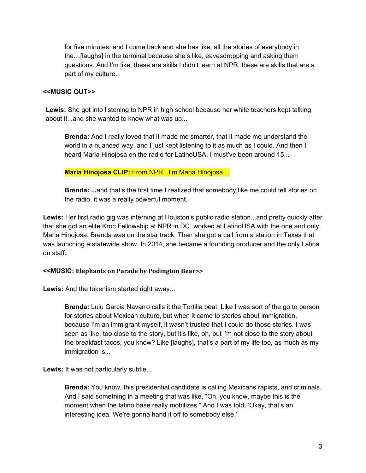for five minutes, and I come back and she has like, all the stories of everybody in the…[laughs] in the terminal because she's like, eavesdropping and asking them questions. And I'm like, these are skills I didn't learn at NPR, these are skills that are a part of my culture.

#### **<<MUSIC OUT>>**

**Lewis:** She got into listening to NPR in high school because her white teachers kept talking about it...and she wanted to know what was up...

**Brenda:** And I really loved that it made me smarter, that it made me understand the world in a nuanced way, and I just kept listening to it as much as I could. And then I heard Maria Hinojosa on the radio for LatinoUSA. I must've been around 15...

**Maria Hinojosa CLIP:** From NPR...I'm Maria Hinojosa…

**Brenda: ...**and that's the first time I realized that somebody like me could tell stories on the radio, it was a really powerful moment.

**Lewis:** Her first radio gig was interning at Houston's public radio station...and pretty quickly after that she got an elite Kroc Fellowship at NPR in DC, worked at LatinoUSA with the one and only, Maria Hinojosa. Brenda was on the star track. Then she got a call from a station in Texas that was launching a statewide show. In 2014, she became a founding producer and the only Latina on staff.

#### **<<MUSIC: Elephants on Parade by Podington Bear>>**

**Lewis:** And the tokenism started right away...

**Brenda:** Lulu Garcia Navarro calls it the Tortilla beat. Like I was sort of the go to person for stories about Mexican culture, but when it came to stories about immigration, because I'm an immigrant myself, it wasn't trusted that I could do those stories. I was seen as like, too close to the story, but it's like, oh, but i'm not close to the story about the breakfast tacos, you know? Like [laughs], that's a part of my life too, as much as my immigration is...

Lewis: It was not particularly subtle...

**Brenda:** You know, this presidential candidate is calling Mexicans rapists, and criminals. And I said something in a meeting that was like, "Oh, you know, maybe this is the moment when the latino base really mobilizes." And I was told, 'Okay, that's an interesting idea. We're gonna hand it off to somebody else.'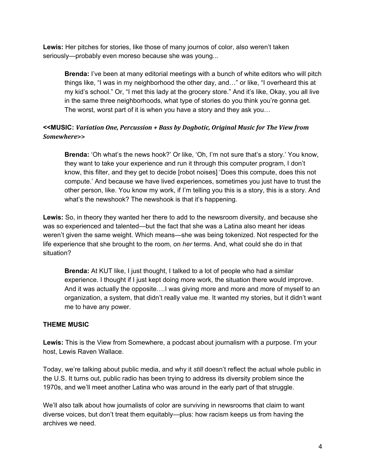**Lewis:** Her pitches for stories, like those of many journos of color, also weren't taken seriously—probably even moreso because she was young...

**Brenda:** I've been at many editorial meetings with a bunch of white editors who will pitch things like, "I was in my neighborhood the other day, and…" or like, "I overheard this at my kid's school." Or, "I met this lady at the grocery store." And it's like, Okay, you all live in the same three neighborhoods, what type of stories do you think you're gonna get. The worst, worst part of it is when you have a story and they ask you…

# **<<MUSIC:** *Variation One, Percussion + Bass by Dogbotic, Original Music for The View from Somewhere***>>**

**Brenda:** 'Oh what's the news hook?' Or like, 'Oh, I'm not sure that's a story.' You know, they want to take your experience and run it through this computer program, I don't know, this filter, and they get to decide [robot noises] 'Does this compute, does this not compute.' And because we have lived experiences, sometimes you just have to trust the other person, like. You know my work, if I'm telling you this is a story, this is a story. And what's the newshook? The newshook is that it's happening.

**Lewis:** So, in theory they wanted her there to add to the newsroom diversity, and because she was so experienced and talented—but the fact that she was a Latina also meant her ideas weren't given the same weight. Which means—she was being tokenized. Not respected for the life experience that she brought to the room, on *her* terms. And, what could she do in that situation?

**Brenda:** At KUT like, I just thought, I talked to a lot of people who had a similar experience. I thought if I just kept doing more work, the situation there would improve. And it was actually the opposite….I was giving more and more and more of myself to an organization, a system, that didn't really value me. It wanted my stories, but it didn't want me to have any power.

# **THEME MUSIC**

**Lewis:** This is the View from Somewhere, a podcast about journalism with a purpose. I'm your host, Lewis Raven Wallace.

Today, we're talking about public media, and why it *still* doesn't reflect the actual whole public in the U.S. It turns out, public radio has been trying to address its diversity problem since the 1970s, and we'll meet another Latina who was around in the early part of that struggle.

We'll also talk about how journalists of color are surviving in newsrooms that claim to want diverse voices, but don't treat them equitably—plus: how racism keeps us from having the archives we need.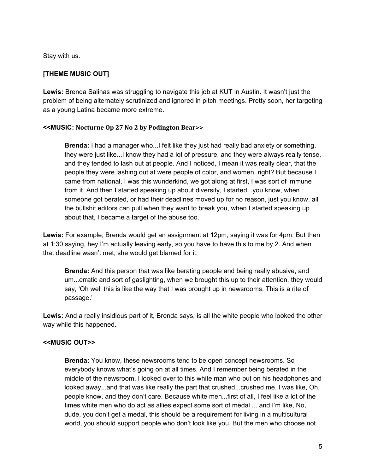Stay with us.

# **[THEME MUSIC OUT]**

**Lewis:** Brenda Salinas was struggling to navigate this job at KUT in Austin. It wasn't just the problem of being alternately scrutinized and ignored in pitch meetings. Pretty soon, her targeting as a young Latina became more extreme.

#### **<<MUSIC: Nocturne Op 27 No 2 by Podington Bear>>**

**Brenda:** I had a manager who...I felt like they just had really bad anxiety or something, they were just like...I know they had a lot of pressure, and they were always really tense, and they tended to lash out at people. And I noticed, I mean it was really clear, that the people they were lashing out at were people of color, and women, right? But because I came from national, I was this wunderkind, we got along at first, I was sort of immune from it. And then I started speaking up about diversity, I started...you know, when someone got berated, or had their deadlines moved up for no reason, just you know, all the bullshit editors can pull when they want to break you, when I started speaking up about that, I became a target of the abuse too.

**Lewis:** For example, Brenda would get an assignment at 12pm, saying it was for 4pm. But then at 1:30 saying, hey I'm actually leaving early, so you have to have this to me by 2. And when that deadline wasn't met, she would get blamed for it.

**Brenda:** And this person that was like berating people and being really abusive, and um...erratic and sort of gaslighting, when we brought this up to their attention, they would say, 'Oh well this is like the way that I was brought up in newsrooms. This is a rite of passage.'

**Lewis:** And a really insidious part of it, Brenda says, is all the white people who looked the other way while this happened.

#### **<<MUSIC OUT>>**

**Brenda:** You know, these newsrooms tend to be open concept newsrooms. So everybody knows what's going on at all times. And I remember being berated in the middle of the newsroom, I looked over to this white man who put on his headphones and looked away...and that was like really the part that crushed...crushed me. I was like, Oh, people know, and they don't care. Because white men...first of all, I feel like a lot of the times white men who do act as allies expect some sort of medal ... and I'm like, No, dude, you don't get a medal, this should be a requirement for living in a multicultural world, you should support people who don't look like you. But the men who choose not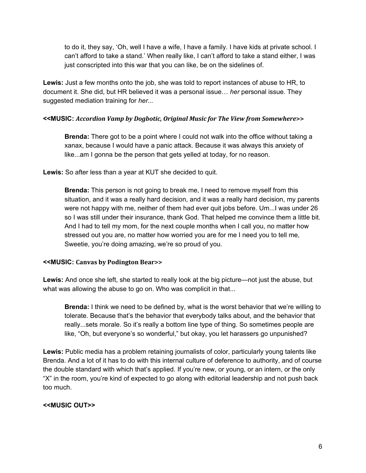to do it, they say, 'Oh, well I have a wife, I have a family. I have kids at private school. I can't afford to take a stand.' When really like, I can't afford to take a stand either, I was just conscripted into this war that you can like, be on the sidelines of.

**Lewis:** Just a few months onto the job, she was told to report instances of abuse to HR, to document it. She did, but HR believed it was a personal issue… *her* personal issue. They suggested mediation training for *her...*

#### **<<MUSIC:** *Accordion Vamp by Dogbotic, Original Music for The View from Somewhere***>>**

**Brenda:** There got to be a point where I could not walk into the office without taking a xanax, because I would have a panic attack. Because it was always this anxiety of like...am I gonna be the person that gets yelled at today, for no reason.

**Lewis:** So after less than a year at KUT she decided to quit.

**Brenda:** This person is not going to break me, I need to remove myself from this situation, and it was a really hard decision, and it was a really hard decision, my parents were not happy with me, neither of them had ever quit jobs before. Um...I was under 26 so I was still under their insurance, thank God. That helped me convince them a little bit. And I had to tell my mom, for the next couple months when I call you, no matter how stressed out you are, no matter how worried you are for me I need you to tell me, Sweetie, you're doing amazing, we're so proud of you.

# **<<MUSIC: Canvas by Podington Bear>>**

**Lewis:** And once she left, she started to really look at the big picture—not just the abuse, but what was allowing the abuse to go on. Who was complicit in that...

**Brenda:** I think we need to be defined by, what is the worst behavior that we're willing to tolerate. Because that's the behavior that everybody talks about, and the behavior that really...sets morale. So it's really a bottom line type of thing. So sometimes people are like, "Oh, but everyone's so wonderful," but okay, you let harassers go unpunished?

**Lewis:** Public media has a problem retaining journalists of color, particularly young talents like Brenda. And a lot of it has to do with this internal culture of deference to authority, and of course the double standard with which that's applied. If you're new, or young, or an intern, or the only "X" in the room, you're kind of expected to go along with editorial leadership and not push back too much.

# **<<MUSIC OUT>>**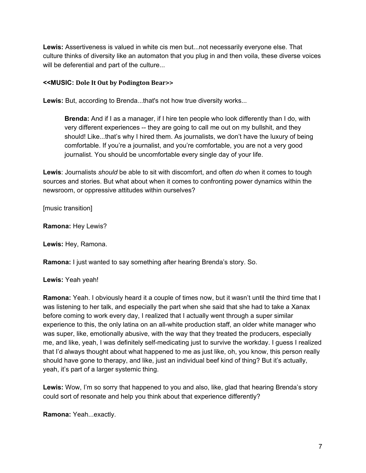**Lewis:** Assertiveness is valued in white cis men but...not necessarily everyone else. That culture thinks of diversity like an automaton that you plug in and then voila, these diverse voices will be deferential and part of the culture...

#### **<<MUSIC: Dole It Out by Podington Bear>>**

Lewis: But, according to Brenda...that's not how true diversity works...

**Brenda:** And if I as a manager, if I hire ten people who look differently than I do, with very different experiences -- they are going to call me out on my bullshit, and they should! Like...that's why I hired them. As journalists, we don't have the luxury of being comfortable. If you're a journalist, and you're comfortable, you are not a very good journalist. You should be uncomfortable every single day of your life.

**Lewis**: Journalists *should* be able to sit with discomfort, and often *do* when it comes to tough sources and stories. But what about when it comes to confronting power dynamics within the newsroom, or oppressive attitudes within ourselves?

[music transition]

**Ramona:** Hey Lewis?

**Lewis:** Hey, Ramona.

**Ramona:** I just wanted to say something after hearing Brenda's story. So.

#### **Lewis:** Yeah yeah!

**Ramona:** Yeah. I obviously heard it a couple of times now, but it wasn't until the third time that I was listening to her talk, and especially the part when she said that she had to take a Xanax before coming to work every day, I realized that I actually went through a super similar experience to this, the only latina on an all-white production staff, an older white manager who was super, like, emotionally abusive, with the way that they treated the producers, especially me, and like, yeah, I was definitely self-medicating just to survive the workday. I guess I realized that I'd always thought about what happened to me as just like, oh, you know, this person really should have gone to therapy, and like, just an individual beef kind of thing? But it's actually, yeah, it's part of a larger systemic thing.

**Lewis:** Wow, I'm so sorry that happened to you and also, like, glad that hearing Brenda's story could sort of resonate and help you think about that experience differently?

**Ramona:** Yeah...exactly.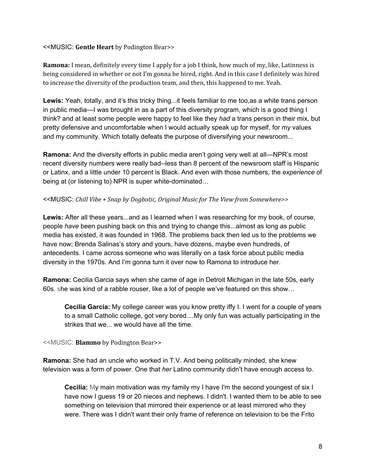#### <<MUSIC: **Gentle Heart** by Podington Bear>>

**Ramona:** I mean, definitely every time I apply for a job I think, how much of my, like, Latinness is being considered in whether or not I'm gonna be hired, right. And in this case I definitely was hired to increase the diversity of the production team, and then, this happened to me. Yeah.

**Lewis:** Yeah, totally, and it's this tricky thing...it feels familiar to me too,as a white trans person in public media—I was brought in as a part of this diversity program, which is a good thing I think? and at least some people were happy to feel like they *had* a trans person in their mix, but pretty defensive and uncomfortable when I would actually speak up for myself, for my values and my community. Which totally defeats the purpose of diversifying your newsroom...

**Ramona:** And the diversity efforts in public media aren't going very well at all—NPR's most recent diversity numbers were really bad--less than 8 percent of the newsroom staff is Hispanic or Latinx, and a little under 10 percent is Black. And even with those numbers, the *experience* of being at (or listening to) NPR is super white-dominated…

#### <<MUSIC: *Chill Vibe + Snap by Dogbotic, Original Music for The View from Somewhere>>*

**Lewis:** After all these years...and as I learned when I was researching for my book, of course, people *have* been pushing back on this and trying to change this...almost as long as public media has existed, it was founded in 1968. The problems back then led us to the problems we have now; Brenda Salinas's story and yours, have dozens, maybe even hundreds, of antecedents. I came across someone who was literally on a task force about public media diversity in the 1970s. And I'm gonna turn it over now to Ramona to introduce her.

**Ramona:** Cecilia Garcia says when she came of age in Detroit Michigan in the late 50s, early 60s, she was kind of a rabble rouser, like a lot of people we've featured on this show…

**Cecilia Garcia:** My college career was you know pretty iffy I. I went for a couple of years to a small Catholic college, got very bored....My only fun was actually participating in the strikes that we... we would have all the time.

<<MUSIC: **Blammo** by Podington Bear>>

**Ramona:** She had an uncle who worked in T.V. And being politically minded, she knew television was a form of power. One that *her* Latino community didn't have enough access to.

**Cecilia:** My main motivation was my family my I have I'm the second youngest of six I have now I guess 19 or 20 nieces and nephews. I didn't. I wanted them to be able to see something on television that mirrored their experience or at least mirrored who they were. There was I didn't want their only frame of reference on television to be the Frito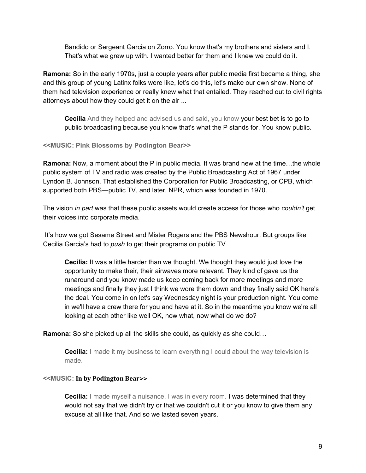Bandido or Sergeant Garcia on Zorro. You know that's my brothers and sisters and I. That's what we grew up with. I wanted better for them and I knew we could do it.

**Ramona:** So in the early 1970s, just a couple years after public media first became a thing, she and this group of young Latinx folks were like, let's do this, let's make our own show. None of them had television experience or really knew what that entailed. They reached out to civil rights attorneys about how they could get it on the air ...

**Cecilia** And they helped and advised us and said, you know your best bet is to go to public broadcasting because you know that's what the P stands for. You know public.

#### **<<MUSIC: Pink Blossoms by Podington Bear>>**

**Ramona:** Now, a moment about the P in public media. It was brand new at the time…the whole public system of TV and radio was created by the Public Broadcasting Act of 1967 under Lyndon B. Johnson. That established the Corporation for Public Broadcasting, or CPB, which supported both PBS—public TV, and later, NPR, which was founded in 1970.

The vision *in part* was that these public assets would create access for those who *couldn't* get their voices into corporate media.

It's how we got Sesame Street and Mister Rogers and the PBS Newshour. But groups like Cecilia Garcia's had to *push* to get their programs on public TV

**Cecilia:** It was a little harder than we thought. We thought they would just love the opportunity to make their, their airwaves more relevant. They kind of gave us the runaround and you know made us keep coming back for more meetings and more meetings and finally they just I think we wore them down and they finally said OK here's the deal. You come in on let's say Wednesday night is your production night. You come in we'll have a crew there for you and have at it. So in the meantime you know we're all looking at each other like well OK, now what, now what do we do?

**Ramona:** So she picked up all the skills she could, as quickly as she could…

**Cecilia:** I made it my business to learn everything I could about the way television is made.

#### **<<MUSIC: In by Podington Bear>>**

**Cecilia:** I made myself a nuisance, I was in every room. I was determined that they would not say that we didn't try or that we couldn't cut it or you know to give them any excuse at all like that. And so we lasted seven years.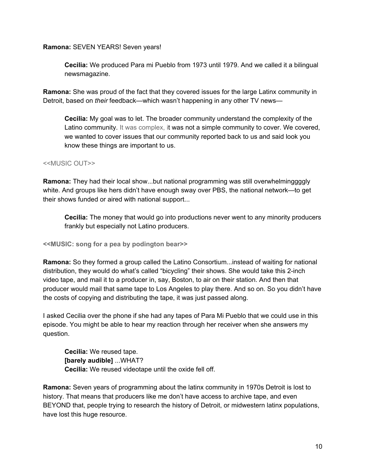#### **Ramona:** SEVEN YEARS! Seven years!

**Cecilia:** We produced Para mi Pueblo from 1973 until 1979. And we called it a bilingual newsmagazine.

**Ramona:** She was proud of the fact that they covered issues for the large Latinx community in Detroit, based on *their* feedback—which wasn't happening in any other TV news—

**Cecilia:** My goal was to let. The broader community understand the complexity of the Latino community. It was complex, it was not a simple community to cover. We covered, we wanted to cover issues that our community reported back to us and said look you know these things are important to us.

#### <<MUSIC OUT>>

**Ramona:** They had their local show...but national programming was still overwhelminggggly white. And groups like hers didn't have enough sway over PBS, the national network—to get their shows funded or aired with national support...

**Cecilia:** The money that would go into productions never went to any minority producers frankly but especially not Latino producers.

**<<MUSIC: song for a pea by podington bear>>**

**Ramona:** So they formed a group called the Latino Consortium...instead of waiting for national distribution, they would do what's called "bicycling" their shows. She would take this 2-inch video tape, and mail it to a producer in, say, Boston, to air on their station. And then that producer would mail that same tape to Los Angeles to play there. And so on. So you didn't have the costs of copying and distributing the tape, it was just passed along.

I asked Cecilia over the phone if she had any tapes of Para Mi Pueblo that we could use in this episode. You might be able to hear my reaction through her receiver when she answers my question.

**Cecilia:** We reused tape. **[barely audible]** ...WHAT? **Cecilia:** We reused videotape until the oxide fell off.

**Ramona:** Seven years of programming about the latinx community in 1970s Detroit is lost to history. That means that producers like me don't have access to archive tape, and even BEYOND that, people trying to research the history of Detroit, or midwestern latinx populations, have lost this huge resource.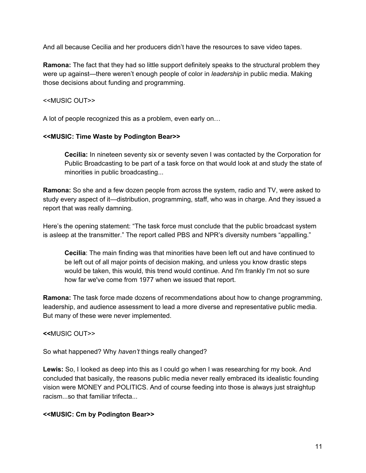And all because Cecilia and her producers didn't have the resources to save video tapes.

**Ramona:** The fact that they had so little support definitely speaks to the structural problem they were up against—there weren't enough people of color in *leadership* in public media. Making those decisions about funding and programming.

#### <<MUSIC OUT>>

A lot of people recognized this as a problem, even early on…

# **<<MUSIC: Time Waste by Podington Bear>>**

**Cecilia:** In nineteen seventy six or seventy seven I was contacted by the Corporation for Public Broadcasting to be part of a task force on that would look at and study the state of minorities in public broadcasting...

**Ramona:** So she and a few dozen people from across the system, radio and TV, were asked to study every aspect of it—distribution, programming, staff, who was in charge. And they issued a report that was really damning.

Here's the opening statement: "The task force must conclude that the public broadcast system is asleep at the transmitter." The report called PBS and NPR's diversity numbers "appalling."

**Cecilia**: The main finding was that minorities have been left out and have continued to be left out of all major points of decision making, and unless you know drastic steps would be taken, this would, this trend would continue. And I'm frankly I'm not so sure how far we've come from 1977 when we issued that report.

**Ramona:** The task force made dozens of recommendations about how to change programming, leadership, and audience assessment to lead a more diverse and representative public media. But many of these were never implemented.

**<<**MUSIC OUT>>

So what happened? Why *haven't* things really changed?

**Lewis:** So, I looked as deep into this as I could go when I was researching for my book. And concluded that basically, the reasons public media never really embraced its idealistic founding vision were MONEY and POLITICS. And of course feeding into those is always just straightup racism...so that familiar trifecta...

# **<<MUSIC: Cm by Podington Bear>>**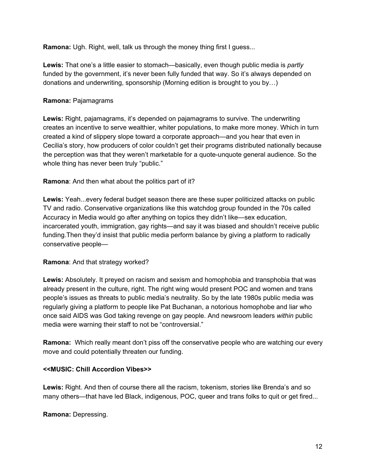**Ramona:** Ugh. Right, well, talk us through the money thing first I guess...

**Lewis:** That one's a little easier to stomach—basically, even though public media is *partly* funded by the government, it's never been fully funded that way. So it's always depended on donations and underwriting, sponsorship (Morning edition is brought to you by…)

#### **Ramona:** Pajamagrams

**Lewis:** Right, pajamagrams, it's depended on pajamagrams to survive. The underwriting creates an incentive to serve wealthier, whiter populations, to make more money. Which in turn created a kind of slippery slope toward a corporate approach—and you hear that even in Cecilia's story, how producers of color couldn't get their programs distributed nationally because the perception was that they weren't marketable for a quote-unquote general audience. So the whole thing has never been truly "public."

#### **Ramona**: And then what about the politics part of it?

**Lewis:** Yeah...every federal budget season there are these super politicized attacks on public TV and radio. Conservative organizations like this watchdog group founded in the 70s called Accuracy in Media would go after anything on topics they didn't like—sex education, incarcerated youth, immigration, gay rights—and say it was biased and shouldn't receive public funding.Then they'd insist that public media perform balance by giving a platform to radically conservative people—

#### **Ramona**: And that strategy worked?

**Lewis:** Absolutely. It preyed on racism and sexism and homophobia and transphobia that was already present in the culture, right. The right wing would present POC and women and trans people's issues as threats to public media's neutrality. So by the late 1980s public media was regularly giving a platform to people like Pat Buchanan, a notorious homophobe and liar who once said AIDS was God taking revenge on gay people. And newsroom leaders *within* public media were warning their staff to not be "controversial."

**Ramona:** Which really meant don't piss off the conservative people who are watching our every move and could potentially threaten our funding.

#### **<<MUSIC: Chill Accordion Vibes>>**

**Lewis:** Right. And then of course there all the racism, tokenism, stories like Brenda's and so many others—that have led Black, indigenous, POC, queer and trans folks to quit or get fired...

**Ramona:** Depressing.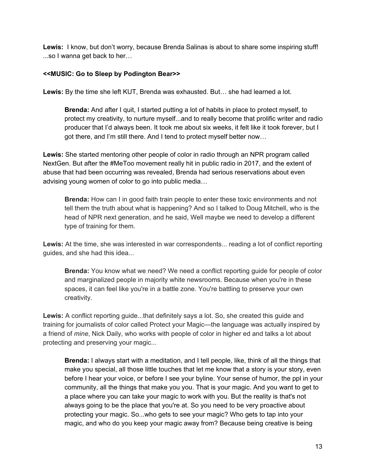**Lewis:** I know, but don't worry, because Brenda Salinas is about to share some inspiring stuff! ...so I wanna get back to her…

# **<<MUSIC: Go to Sleep by Podington Bear>>**

**Lewis:** By the time she left KUT, Brenda was exhausted. But… she had learned a lot.

**Brenda:** And after I quit, I started putting a lot of habits in place to protect myself, to protect my creativity, to nurture myself...and to really become that prolific writer and radio producer that I'd always been. It took me about six weeks, it felt like it took forever, but I got there, and I'm still there. And I tend to protect myself better now…

**Lewis:** She started mentoring other people of color in radio through an NPR program called NextGen. But after the #MeToo movement really hit in public radio in 2017, and the extent of abuse that had been occurring was revealed, Brenda had serious reservations about even advising young women of color to go into public media…

**Brenda:** How can I in good faith train people to enter these toxic environments and not tell them the truth about what is happening? And so I talked to Doug Mitchell, who is the head of NPR next generation, and he said, Well maybe we need to develop a different type of training for them.

Lewis: At the time, she was interested in war correspondents... reading a lot of conflict reporting guides, and she had this idea...

**Brenda:** You know what we need? We need a conflict reporting guide for people of color and marginalized people in majority white newsrooms. Because when you're in these spaces, it can feel like you're in a battle zone. You're battling to preserve your own creativity.

**Lewis:** A conflict reporting guide...that definitely says a lot. So, she created this guide and training for journalists of color called Protect your Magic—the language was actually inspired by a friend of *mine*, Nick Daily, who works with people of color in higher ed and talks a lot about protecting and preserving your magic...

**Brenda:** I always start with a meditation, and I tell people, like, think of all the things that make you special, all those little touches that let me know that a story is your story, even before I hear your voice, or before I see your byline. Your sense of humor, the ppl in your community, all the things that make you you. That is your magic. And you want to get to a place where you can take your magic to work with you. But the reality is that's not always going to be the place that you're at. So you need to be very proactive about protecting your magic. So...who gets to see your magic? Who gets to tap into your magic, and who do you keep your magic away from? Because being creative is being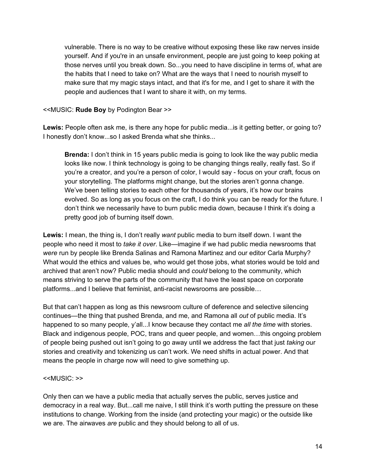vulnerable. There is no way to be creative without exposing these like raw nerves inside yourself. And if you're in an unsafe environment, people are just going to keep poking at those nerves until you break down. So...you need to have discipline in terms of, what are the habits that I need to take on? What are the ways that I need to nourish myself to make sure that my magic stays intact, and that it's for me, and I get to share it with the people and audiences that I want to share it with, on my terms.

#### <<MUSIC: **Rude Boy** by Podington Bear >>

**Lewis:** People often ask me, is there any hope for public media...is it getting better, or going to? I honestly don't know...so I asked Brenda what she thinks...

**Brenda:** I don't think in 15 years public media is going to look like the way public media looks like now. I think technology is going to be changing things really, really fast. So if you're a creator, and you're a person of color, I would say - focus on your craft, focus on your storytelling. The platforms might change, but the stories aren't gonna change. We've been telling stories to each other for thousands of years, it's how our brains evolved. So as long as you focus on the craft, I do think you can be ready for the future. I don't think we necessarily have to burn public media down, because I think it's doing a pretty good job of burning itself down.

**Lewis:** I mean, the thing is, I don't really *want* public media to burn itself down. I want the people who need it most to *take it over*. Like—imagine if we had public media newsrooms that *were* run by people like Brenda Salinas and Ramona Martinez and our editor Carla Murphy? What would the ethics and values be, who would get those jobs, what stories would be told and archived that aren't now? Public media should and *could* belong to the community, which means striving to serve the parts of the community that have the least space on corporate platforms...and I believe that feminist, anti-racist newsrooms are possible…

But that can't happen as long as this newsroom culture of deference and selective silencing continues—the thing that pushed Brenda, and me, and Ramona all *out* of public media. It's happened to so many people, y'all...I know because they contact me *all the time* with stories. Black and indigenous people, POC, trans and queer people, and women…this ongoing problem of people being pushed out isn't going to go away until we address the fact that just *taking* our stories and creativity and tokenizing us can't work. We need shifts in actual power. And that means the people in charge now will need to give something up.

#### <<MUSIC: >>

Only then can we have a public media that actually serves the public, serves justice and democracy in a real way. But...call me naive, I still think it's worth putting the pressure on these institutions to change. Working from the inside (and protecting your magic) or the outside like we are. The airwaves *are* public and they should belong to all of us.